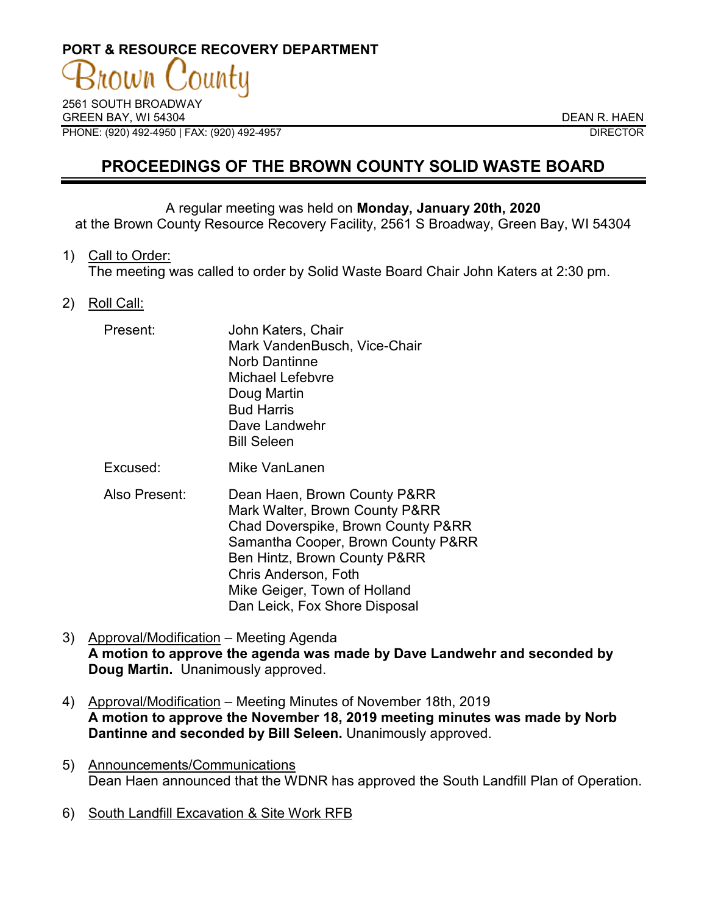# **PORT & RESOURCE RECOVERY DEPARTMENT**

2561 SOUTH BROADWAY GREEN BAY, WI 54304 DEAN R. HAEN PHONE: (920) 492-4950 | FAX: (920) 492-4957 DIRECTOR

# **PROCEEDINGS OF THE BROWN COUNTY SOLID WASTE BOARD**

### A regular meeting was held on **Monday, January 20th, 2020**

at the Brown County Resource Recovery Facility, 2561 S Broadway, Green Bay, WI 54304

1) Call to Order:

The meeting was called to order by Solid Waste Board Chair John Katers at 2:30 pm.

2) Roll Call:

| Present: | John Katers, Chair<br>Mark VandenBusch, Vice-Chair<br><b>Norb Dantinne</b><br><b>Michael Lefebvre</b><br>Doug Martin<br><b>Bud Harris</b><br>Dave Landwehr<br><b>Bill Seleen</b> |
|----------|----------------------------------------------------------------------------------------------------------------------------------------------------------------------------------|
|          |                                                                                                                                                                                  |

- Excused: Mike VanLanen
- Also Present: Dean Haen, Brown County P&RR Mark Walter, Brown County P&RR Chad Doverspike, Brown County P&RR Samantha Cooper, Brown County P&RR Ben Hintz, Brown County P&RR Chris Anderson, Foth Mike Geiger, Town of Holland Dan Leick, Fox Shore Disposal
- 3) Approval/Modification Meeting Agenda **A motion to approve the agenda was made by Dave Landwehr and seconded by Doug Martin.** Unanimously approved.
- 4) Approval/Modification Meeting Minutes of November 18th, 2019 **A motion to approve the November 18, 2019 meeting minutes was made by Norb Dantinne and seconded by Bill Seleen.** Unanimously approved.
- 5) Announcements/Communications Dean Haen announced that the WDNR has approved the South Landfill Plan of Operation.
- 6) South Landfill Excavation & Site Work RFB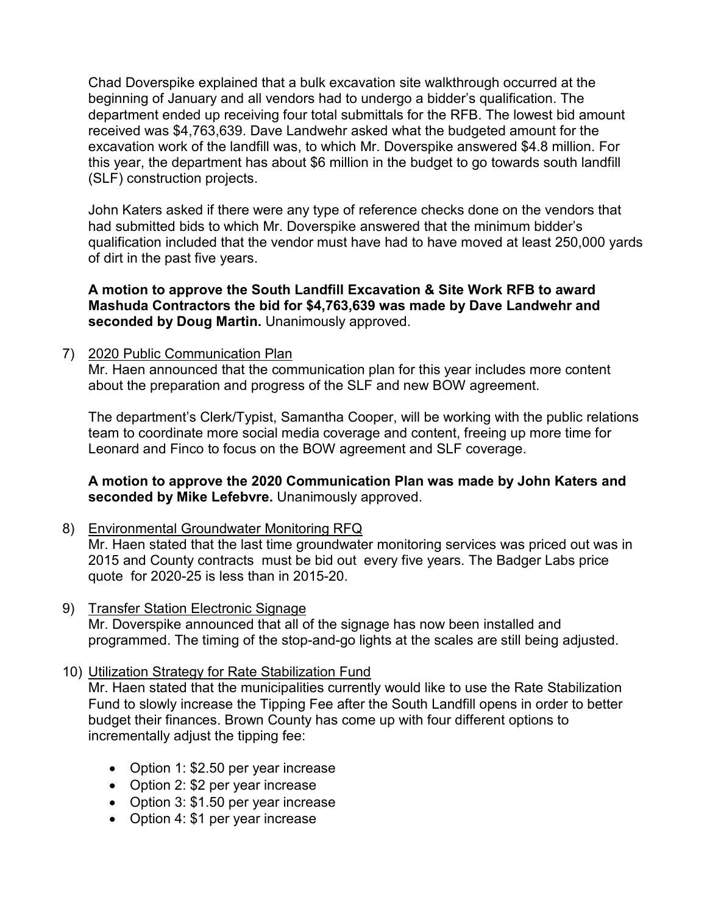Chad Doverspike explained that a bulk excavation site walkthrough occurred at the beginning of January and all vendors had to undergo a bidder's qualification. The department ended up receiving four total submittals for the RFB. The lowest bid amount received was \$4,763,639. Dave Landwehr asked what the budgeted amount for the excavation work of the landfill was, to which Mr. Doverspike answered \$4.8 million. For this year, the department has about \$6 million in the budget to go towards south landfill (SLF) construction projects.

John Katers asked if there were any type of reference checks done on the vendors that had submitted bids to which Mr. Doverspike answered that the minimum bidder's qualification included that the vendor must have had to have moved at least 250,000 yards of dirt in the past five years.

## **A motion to approve the South Landfill Excavation & Site Work RFB to award Mashuda Contractors the bid for \$4,763,639 was made by Dave Landwehr and seconded by Doug Martin.** Unanimously approved.

7) 2020 Public Communication Plan

Mr. Haen announced that the communication plan for this year includes more content about the preparation and progress of the SLF and new BOW agreement.

The department's Clerk/Typist, Samantha Cooper, will be working with the public relations team to coordinate more social media coverage and content, freeing up more time for Leonard and Finco to focus on the BOW agreement and SLF coverage.

## **A motion to approve the 2020 Communication Plan was made by John Katers and**  seconded by Mike Lefebvre. Unanimously approved.

- 8) Environmental Groundwater Monitoring RFQ Mr. Haen stated that the last time groundwater monitoring services was priced out was in 2015 and County contracts must be bid out every five years. The Badger Labs price quote for 2020-25 is less than in 2015-20.
- 9) Transfer Station Electronic Signage Mr. Doverspike announced that all of the signage has now been installed and programmed. The timing of the stop-and-go lights at the scales are still being adjusted.
- 10) Utilization Strategy for Rate Stabilization Fund

Mr. Haen stated that the municipalities currently would like to use the Rate Stabilization Fund to slowly increase the Tipping Fee after the South Landfill opens in order to better budget their finances. Brown County has come up with four different options to incrementally adjust the tipping fee:

- Option 1: \$2.50 per year increase
- Option 2: \$2 per year increase
- Option 3: \$1.50 per year increase
- Option 4: \$1 per year increase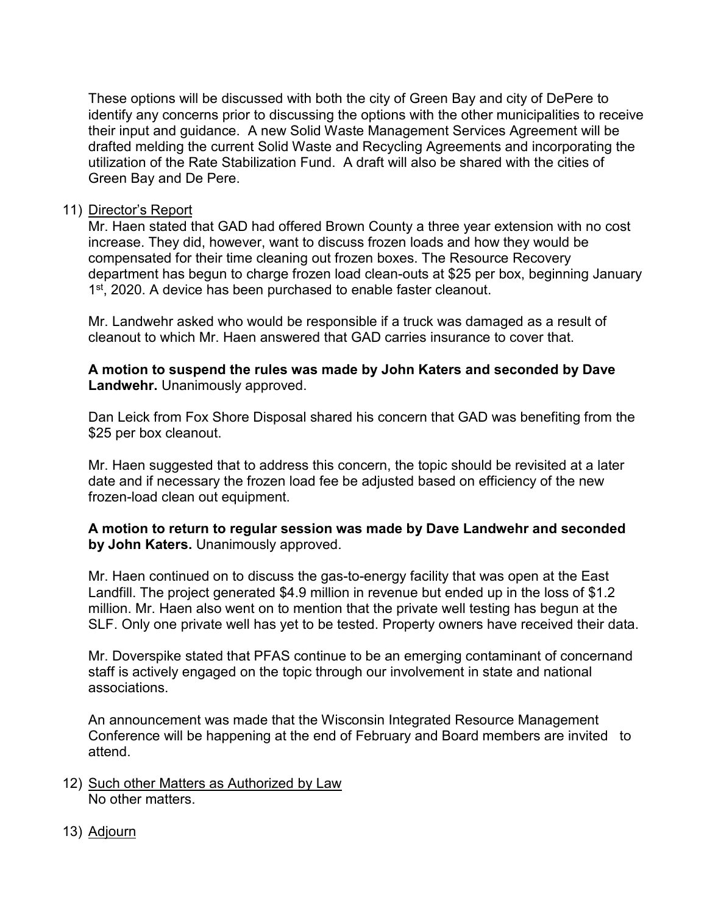These options will be discussed with both the city of Green Bay and city of DePere to identify any concerns prior to discussing the options with the other municipalities to receive their input and guidance. A new Solid Waste Management Services Agreement will be drafted melding the current Solid Waste and Recycling Agreements and incorporating the utilization of the Rate Stabilization Fund. A draft will also be shared with the cities of Green Bay and De Pere.

#### 11) Director's Report

Mr. Haen stated that GAD had offered Brown County a three year extension with no cost increase. They did, however, want to discuss frozen loads and how they would be compensated for their time cleaning out frozen boxes. The Resource Recovery department has begun to charge frozen load clean-outs at \$25 per box, beginning January 1<sup>st</sup>, 2020. A device has been purchased to enable faster cleanout.

Mr. Landwehr asked who would be responsible if a truck was damaged as a result of cleanout to which Mr. Haen answered that GAD carries insurance to cover that.

**A motion to suspend the rules was made by John Katers and seconded by Dave Landwehr.** Unanimously approved.

Dan Leick from Fox Shore Disposal shared his concern that GAD was benefiting from the \$25 per box cleanout.

Mr. Haen suggested that to address this concern, the topic should be revisited at a later date and if necessary the frozen load fee be adjusted based on efficiency of the new frozen-load clean out equipment.

#### **A motion to return to regular session was made by Dave Landwehr and seconded by John Katers.** Unanimously approved.

Mr. Haen continued on to discuss the gas-to-energy facility that was open at the East Landfill. The project generated \$4.9 million in revenue but ended up in the loss of \$1.2 million. Mr. Haen also went on to mention that the private well testing has begun at the SLF. Only one private well has yet to be tested. Property owners have received their data.

Mr. Doverspike stated that PFAS continue to be an emerging contaminant of concernand staff is actively engaged on the topic through our involvement in state and national associations.

An announcement was made that the Wisconsin Integrated Resource Management Conference will be happening at the end of February and Board members are invited to attend.

- 12) Such other Matters as Authorized by Law No other matters.
- 13) Adjourn